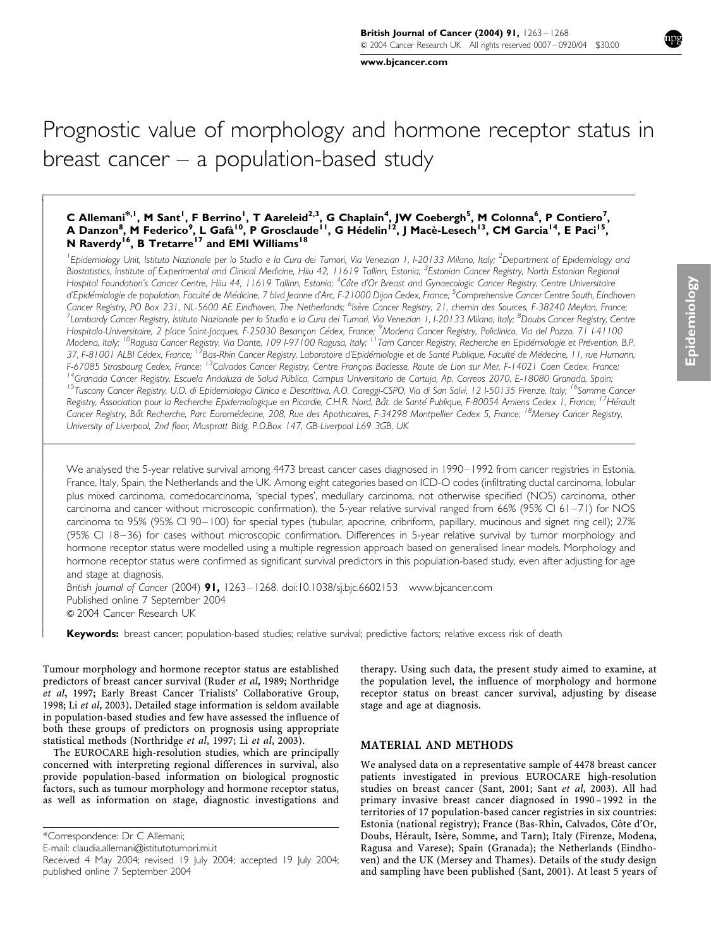www.bjcancer.com

# Prognostic value of morphology and hormone receptor status in breast cancer  $-$  a population-based study

# C Allemani<sup>\*, 1</sup>, M Sant<sup>1</sup>, F Berrino<sup>1</sup>, T Aareleid<sup>2,3</sup>, G Chaplain<sup>4</sup>, JW Coebergh<sup>5</sup>, M Colonna<sup>6</sup>, P Contiero<sup>7</sup>, A Danzon<sup>8</sup>, M Federico<sup>9</sup>, L Gafà<sup>10</sup>, P Grosclaude<sup>11</sup>, G Hédelin<sup>12</sup>, J Macè-Lesech<sup>13</sup>, CM Garcia<sup>14</sup>, E Paci<sup>15</sup>, N Raverdy<sup>16</sup>, B Tretarre<sup>17</sup> and EMI Williams<sup>18</sup>

<sup>1</sup>Epidemiology Unit, Istituto Nazionale per lo Studio e la Cura dei Tumori, Via Venezian 1, I-20133 Milano, Italy; <sup>2</sup>Department of Epidemiology and Biostatistics, Institute of Experimental and Clinical Medicine, Hiju 42, 11619 Tallinn, Estonia; <sup>3</sup>Estonian Cancer Registry, North Estonian Regional Hospital Foundation's Cancer Centre, Hiiu 44, 11619 Tallinn, Estonia; <sup>4</sup>Côte d'Or Breast and Gynaecologic Cancer Registry, Centre Universitaire d'Epidémiologie de population, Faculté de Médicine, 7 blvd Jeanne d'Arc, F-21000 Dijon Cedex, France; <sup>5</sup>Comprehensive Cancer Centre South, Eindhoven Cancer Registry, PO Box 231, NL-5600 AE Eindhoven, The Netherlands; <sup>6</sup>Isère Cancer Registry, 21, chemin des Sources, F-38240 Meylan, France; <sup>7</sup>Lombardy Cancer Registry, Istituto Nazionale per lo Studio e la Cura dei Tumori, Via Venezian 1, I-20133 Milano, Italy; <sup>8</sup>Doubs Cancer Registry, Centre Hospitalo-Universitaire, 2 place Saint-Jacques, F-25030 Besançon Cédex, France; <sup>9</sup>Modena Cancer Registry, Policlinico, Via del Pozzo, 71 1-41100 Modena, Italy; <sup>10</sup>Ragusa Cancer Registry, Via Dante, 109 1-97100 Ragusa, Italy; <sup>11</sup>Tam Cancer Registry, Recherche en Epidémiologie et Prévention, B.P. 37, F-81001 ALBI Cédex, France; <sup>12</sup>Bas-Rhin Cancer Registry, Laboratoire d'Epidémiologie et de Santé Publique, Faculté de Médecine, 11, rue Humann, F-67085 Strasbourg Cedex, France; <sup>13</sup>Calvados Cancer Registry, Centre François Baclesse, Route de Lion sur Mer, F-14021 Caen Cedex, France; <sup>14</sup>Granada Cancer Registry, Escuela Andaluza de Salud Pública, Campus Universitario de Cartuja, Ap. Correos 2070, E-18080 Granada, Spain; <sup>15</sup>Tuscany Cancer Registry, U.O. di Epidemiologia Clinica e Descrittiva, A.O. Careggi-CSPO, Via di San Salvi, 12 1-50135 Firenze, Italy; <sup>16</sup>Somme Cancer Registry, Association pour la Recherche Epidemiologique en Picardie, C.H.R. Nord, Bât. de Santé Publique, F-80054 Amiens Cedex 1, France; <sup>17</sup>Hérault Cancer Registry, Bât Recherche, Parc Euromédecine, 208, Rue des Abothicaires, F-34298 Montbellier Cedex 5, France: <sup>18</sup>Mersey Cancer Registry, University of Liverpool, 2nd floor, Muspratt Bldg, P.O.Box 147, GB-Liverpool L69 3GB, UK

We analysed the 5-year relative survival among 4473 breast cancer cases diagnosed in 1990-1992 from cancer registries in Estonia, France, Italy, Spain, the Netherlands and the UK. Among eight categories based on ICD-O codes (infiltrating ductal carcinoma, lobular plus mixed carcinoma, comedocarcinoma, 'special types', medullary carcinoma, not otherwise specified (NOS) carcinoma, other carcinoma and cancer without microscopic confirmation), the 5-year relative survival ranged from 66% (95% CI 61-71) for NOS carcinoma to 95% (95% CI 90-100) for special types (tubular, apocrine, cribriform, papillary, mucinous and signet ring cell); 27% (95% CI 18-36) for cases without microscopic confirmation. Differences in 5-year relative survival by tumor morphology and hormone receptor status were modelled using a multiple regression approach based on generalised linear models. Morphology and hormone receptor status were confirmed as significant survival predictors in this population-based study, even after adjusting for age and stage at diagnosis.

British Journal of Cancer (2004) 91, 1263-1268. doi:10.1038/sj.bjc.6602153 www.bjcancer.com Published online 7 September 2004 © 2004 Cancer Research UK

Keywords: breast cancer; population-based studies; relative survival; predictive factors; relative excess risk of death

Tumour morphology and hormone receptor status are established predictors of breast cancer survival (Ruder et al, 1989; Northridge et al, 1997; Early Breast Cancer Trialists' Collaborative Group, 1998; Li et al, 2003). Detailed stage information is seldom available in population-based studies and few have assessed the influence of both these groups of predictors on prognosis using appropriate statistical methods (Northridge et al, 1997; Li et al, 2003).

The EUROCARE high-resolution studies, which are principally concerned with interpreting regional differences in survival, also provide population-based information on biological prognostic factors, such as tumour morphology and hormone receptor status, as well as information on stage, diagnostic investigations and

\*Correspondence: Dr C Allemani;

E-mail: claudia.allemani@istitutotumori.mi.it

therapy. Using such data, the present study aimed to examine, at the population level, the influence of morphology and hormone receptor status on breast cancer survival, adjusting by disease stage and age at diagnosis.

## **MATERIAL AND METHODS**

We analysed data on a representative sample of 4478 breast cancer patients investigated in previous EUROCARE high-resolution studies on breast cancer (Sant, 2001; Sant et al, 2003). All had primary invasive breast cancer diagnosed in 1990-1992 in the territories of 17 population-based cancer registries in six countries: Estonia (national registry); France (Bas-Rhin, Calvados, Côte d'Or, Doubs, Hérault, Isère, Somme, and Tarn); Italy (Firenze, Modena, Ragusa and Varese); Spain (Granada); the Netherlands (Eindhoven) and the UK (Mersey and Thames). Details of the study design and sampling have been published (Sant, 2001). At least 5 years of

Received 4 May 2004; revised 19 July 2004; accepted 19 July 2004; published online 7 September 2004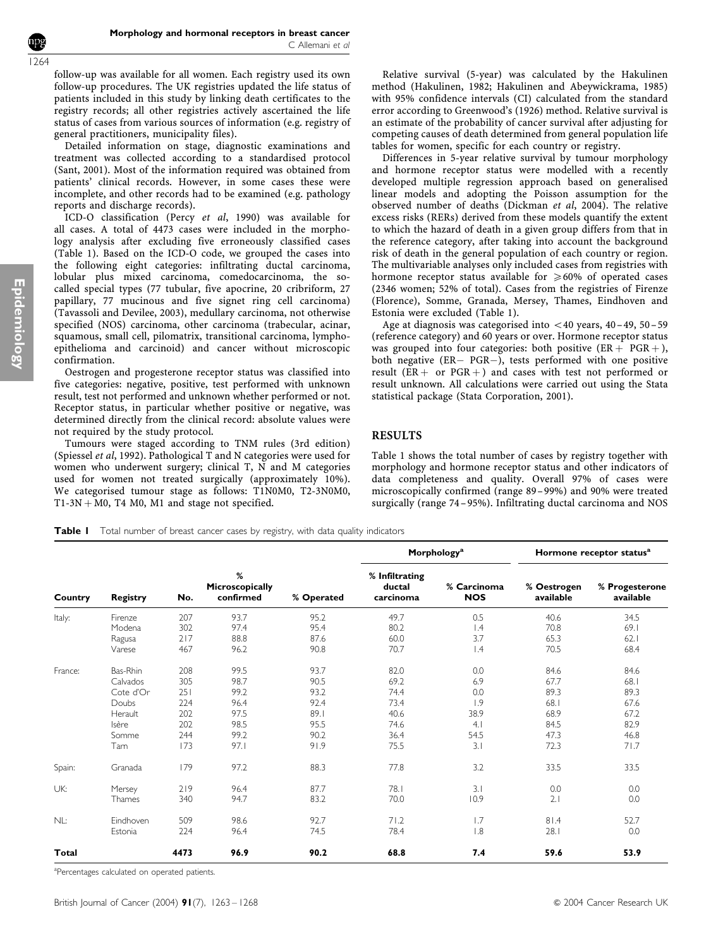follow-up was available for all women. Each registry used its own follow-up procedures. The UK registries updated the life status of patients included in this study by linking death certificates to the registry records; all other registries actively ascertained the life status of cases from various sources of information (e.g. registry of general practitioners, municipality files).

Detailed information on stage, diagnostic examinations and treatment was collected according to a standardised protocol (Sant, 2001). Most of the information required was obtained from patients' clinical records. However, in some cases these were incomplete, and other records had to be examined (e.g. pathology reports and discharge records).

ICD-O classification (Percy et al, 1990) was available for all cases. A total of 4473 cases were included in the morphology analysis after excluding five erroneously classified cases (Table 1). Based on the ICD-O code, we grouped the cases into the following eight categories: infiltrating ductal carcinoma, lobular plus mixed carcinoma, comedocarcinoma, the socalled special types (77 tubular, five apocrine, 20 cribriform, 27 papillary, 77 mucinous and five signet ring cell carcinoma) (Tavassoli and Devilee, 2003), medullary carcinoma, not otherwise specified (NOS) carcinoma, other carcinoma (trabecular, acinar, squamous, small cell, pilomatrix, transitional carcinoma, lymphoepithelioma and carcinoid) and cancer without microscopic confirmation.

Oestrogen and progesterone receptor status was classified into five categories: negative, positive, test performed with unknown result, test not performed and unknown whether performed or not. Receptor status, in particular whether positive or negative, was determined directly from the clinical record: absolute values were not required by the study protocol.

Tumours were staged according to TNM rules (3rd edition) (Spiessel et al, 1992). Pathological T and N categories were used for women who underwent surgery; clinical T, N and M categories used for women not treated surgically (approximately 10%). We categorised tumour stage as follows: T1N0M0, T2-3N0M0,  $T1-3N + M0$ , T4 M0, M1 and stage not specified.

Relative survival (5-year) was calculated by the Hakulinen method (Hakulinen, 1982; Hakulinen and Abeywickrama, 1985) with 95% confidence intervals (CI) calculated from the standard error according to Greenwood's (1926) method. Relative survival is an estimate of the probability of cancer survival after adjusting for competing causes of death determined from general population life tables for women, specific for each country or registry.

Differences in 5-year relative survival by tumour morphology and hormone receptor status were modelled with a recently developed multiple regression approach based on generalised linear models and adopting the Poisson assumption for the observed number of deaths (Dickman et al, 2004). The relative excess risks (RERs) derived from these models quantify the extent to which the hazard of death in a given group differs from that in the reference category, after taking into account the background risk of death in the general population of each country or region. The multivariable analyses only included cases from registries with hormone receptor status available for  $\geq 60\%$  of operated cases (2346 women; 52% of total). Cases from the registries of Firenze (Florence), Somme, Granada, Mersey, Thames, Eindhoven and Estonia were excluded (Table 1).

Age at diagnosis was categorised into  $<$  40 years, 40–49, 50–59 (reference category) and 60 years or over. Hormone receptor status was grouped into four categories: both positive  $(ER + PGR +)$ , both negative (ER- PGR-), tests performed with one positive result ( $ER + or PGR +$ ) and cases with test not performed or result unknown. All calculations were carried out using the Stata statistical package (Stata Corporation, 2001).

# RESULTS

Table 1 shows the total number of cases by registry together with morphology and hormone receptor status and other indicators of data completeness and quality. Overall 97% of cases were microscopically confirmed (range 89–99%) and 90% were treated surgically (range 74– 95%). Infiltrating ductal carcinoma and NOS

Table I Total number of breast cancer cases by registry, with data quality indicators

| Country | <b>Registry</b> |      |                                   | % Operated |                                       | <b>Morphology<sup>a</sup></b> | Hormone receptor status <sup>a</sup> |                             |
|---------|-----------------|------|-----------------------------------|------------|---------------------------------------|-------------------------------|--------------------------------------|-----------------------------|
|         |                 | No.  | %<br>Microscopically<br>confirmed |            | % Infiltrating<br>ductal<br>carcinoma | % Carcinoma<br><b>NOS</b>     | % Oestrogen<br>available             | % Progesterone<br>available |
| Italy:  | Firenze         | 207  | 93.7                              | 95.2       | 49.7                                  | 0.5                           | 40.6                                 | 34.5                        |
|         | Modena          | 302  | 97.4                              | 95.4       | 80.2                                  | 1.4                           | 70.8                                 | 69.1                        |
|         | Ragusa          | 217  | 88.8                              | 87.6       | 60.0                                  | 3.7                           | 65.3                                 | 62.1                        |
|         | Varese          | 467  | 96.2                              | 90.8       | 70.7                                  | $\overline{1.4}$              | 70.5                                 | 68.4                        |
| France: | Bas-Rhin        | 208  | 99.5                              | 93.7       | 82.0                                  | 0.0                           | 84.6                                 | 84.6                        |
|         | Calvados        | 305  | 98.7                              | 90.5       | 69.2                                  | 6.9                           | 67.7                                 | 68.1                        |
|         | Cote d'Or       | 251  | 99.2                              | 93.2       | 74.4                                  | 0.0                           | 89.3                                 | 89.3                        |
|         | Doubs           | 224  | 96.4                              | 92.4       | 73.4                                  | 1.9                           | 68.1                                 | 67.6                        |
|         | Herault         | 202  | 97.5                              | 89.1       | 40.6                                  | 38.9                          | 68.9                                 | 67.2                        |
|         | Isère           | 202  | 98.5                              | 95.5       | 74.6                                  | 4.1                           | 84.5                                 | 82.9                        |
|         | Somme           | 244  | 99.2                              | 90.2       | 36.4                                  | 54.5                          | 47.3                                 | 46.8                        |
|         | Tarn            | 173  | 97.1                              | 91.9       | 75.5                                  | 3.1                           | 72.3                                 | 71.7                        |
| Spain:  | Granada         | 179  | 97.2                              | 88.3       | 77.8                                  | 3.2                           | 33.5                                 | 33.5                        |
| UK:     | Mersey          | 219  | 96.4                              | 87.7       | 78.1                                  | 3.1                           | 0.0                                  | 0.0                         |
|         | Thames          | 340  | 94.7                              | 83.2       | 70.0                                  | 10.9                          | 2.1                                  | 0.0                         |
| NL:     | Eindhoven       | 509  | 98.6                              | 92.7       | 71.2                                  | 1.7                           | 81.4                                 | 52.7                        |
|         | Estonia         | 224  | 96.4                              | 74.5       | 78.4                                  | 1.8                           | 28.1                                 | 0.0                         |
| Total   |                 | 4473 | 96.9                              | 90.2       | 68.8                                  | 7.4                           | 59.6                                 | 53.9                        |

<sup>a</sup>Percentages calculated on operated patients.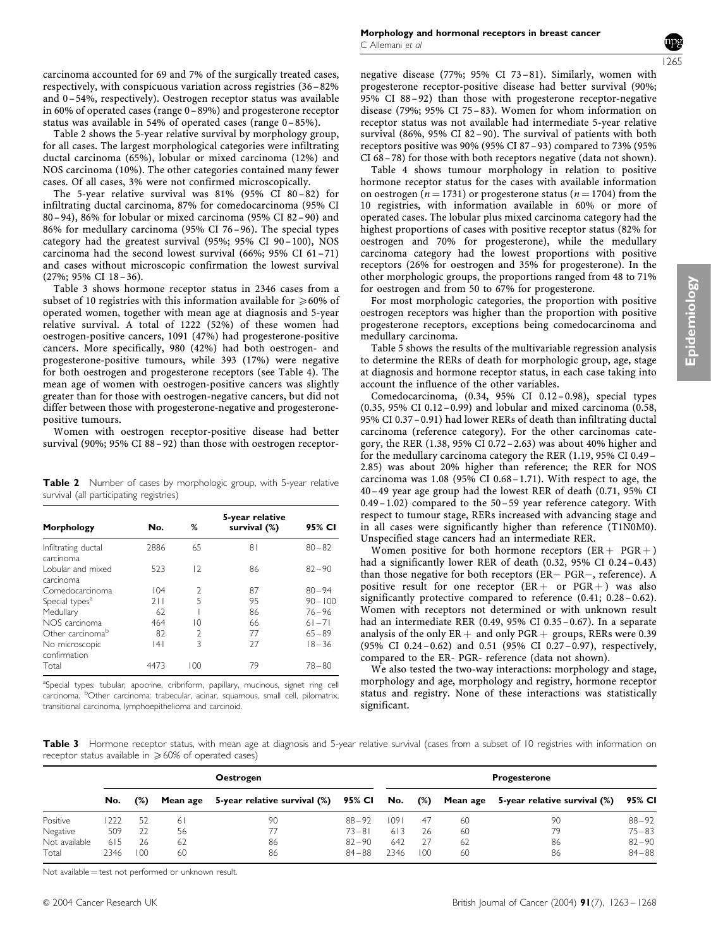carcinoma accounted for 69 and 7% of the surgically treated cases, respectively, with conspicuous variation across registries (36–82% and 0–54%, respectively). Oestrogen receptor status was available in 60% of operated cases (range 0–89%) and progesterone receptor status was available in 54% of operated cases (range 0–85%).

Table 2 shows the 5-year relative survival by morphology group, for all cases. The largest morphological categories were infiltrating ductal carcinoma (65%), lobular or mixed carcinoma (12%) and NOS carcinoma (10%). The other categories contained many fewer cases. Of all cases, 3% were not confirmed microscopically.

The 5-year relative survival was 81% (95% CI 80–82) for infiltrating ductal carcinoma, 87% for comedocarcinoma (95% CI 80–94), 86% for lobular or mixed carcinoma (95% CI 82–90) and 86% for medullary carcinoma (95% CI 76–96). The special types category had the greatest survival (95%; 95% CI 90–100), NOS carcinoma had the second lowest survival (66%; 95% CI 61–71) and cases without microscopic confirmation the lowest survival (27%; 95% CI 18–36).

Table 3 shows hormone receptor status in 2346 cases from a subset of 10 registries with this information available for  $\geq 60\%$  of operated women, together with mean age at diagnosis and 5-year relative survival. A total of 1222 (52%) of these women had oestrogen-positive cancers, 1091 (47%) had progesterone-positive cancers. More specifically, 980 (42%) had both oestrogen- and progesterone-positive tumours, while 393 (17%) were negative for both oestrogen and progesterone receptors (see Table 4). The mean age of women with oestrogen-positive cancers was slightly greater than for those with oestrogen-negative cancers, but did not differ between those with progesterone-negative and progesteronepositive tumours.

Women with oestrogen receptor-positive disease had better survival (90%; 95% CI 88 – 92) than those with oestrogen receptor-

Table 2 Number of cases by morphologic group, with 5-year relative survival (all participating registries)

| Morphology                       | No.  | ℅              | 5-year relative<br>survival (%) | 95% CI     |
|----------------------------------|------|----------------|---------------------------------|------------|
| Infiltrating ductal<br>carcinoma | 2886 | 65             | 81                              | $80 - 82$  |
| I obular and mixed<br>carcinoma  | 523  | 12             | 86                              | $82 - 90$  |
| Comedocarcinoma                  | 104  | $\mathcal{P}$  | 87                              | $80 - 94$  |
| Special types <sup>a</sup>       | 211  | 5              | 95                              | $90 - 100$ |
| Medullary                        | 62   |                | 86                              | $76 - 96$  |
| NOS carcinoma                    | 464  | 10             | 66                              | $61 - 71$  |
| Other carcinoma <sup>b</sup>     | 82   | $\mathfrak{D}$ | 77                              | $65 - 89$  |
| No microscopic<br>confirmation   | 4    | 3              | 27                              | $18 - 36$  |
| Total                            | 4473 | 100            | 79                              | $78 - 80$  |

aSpecial types: tubular, apocrine, cribriform, papillary, mucinous, signet ring cell carcinoma. <sup>b</sup>Other carcinoma: trabecular, acinar, squamous, small cell, pilomatrix, transitional carcinoma, lymphoepithelioma and carcinoid.

negative disease (77%; 95% CI 73– 81). Similarly, women with progesterone receptor-positive disease had better survival (90%; 95% CI 88–92) than those with progesterone receptor-negative disease (79%; 95% CI 75–83). Women for whom information on receptor status was not available had intermediate 5-year relative survival (86%, 95% CI 82–90). The survival of patients with both receptors positive was 90% (95% CI 87–93) compared to 73% (95% CI 68–78) for those with both receptors negative (data not shown).

Table 4 shows tumour morphology in relation to positive hormone receptor status for the cases with available information on oestrogen ( $n = 1731$ ) or progesterone status ( $n = 1704$ ) from the 10 registries, with information available in 60% or more of operated cases. The lobular plus mixed carcinoma category had the highest proportions of cases with positive receptor status (82% for oestrogen and 70% for progesterone), while the medullary carcinoma category had the lowest proportions with positive receptors (26% for oestrogen and 35% for progesterone). In the other morphologic groups, the proportions ranged from 48 to 71% for oestrogen and from 50 to 67% for progesterone.

For most morphologic categories, the proportion with positive oestrogen receptors was higher than the proportion with positive progesterone receptors, exceptions being comedocarcinoma and medullary carcinoma.

Table 5 shows the results of the multivariable regression analysis to determine the RERs of death for morphologic group, age, stage at diagnosis and hormone receptor status, in each case taking into account the influence of the other variables.

Comedocarcinoma, (0.34, 95% CI 0.12–0.98), special types (0.35, 95% CI 0.12–0.99) and lobular and mixed carcinoma (0.58, 95% CI 0.37–0.91) had lower RERs of death than infiltrating ductal carcinoma (reference category). For the other carcinomas category, the RER (1.38, 95% CI 0.72–2.63) was about 40% higher and for the medullary carcinoma category the RER (1.19, 95% CI 0.49– 2.85) was about 20% higher than reference; the RER for NOS carcinoma was 1.08 (95% CI 0.68–1.71). With respect to age, the 40–49 year age group had the lowest RER of death (0.71, 95% CI 0.49– 1.02) compared to the 50–59 year reference category. With respect to tumour stage, RERs increased with advancing stage and in all cases were significantly higher than reference (T1N0M0). Unspecified stage cancers had an intermediate RER.

Women positive for both hormone receptors  $(ER + PGR +)$ had a significantly lower RER of death (0.32, 95% CI 0.24-0.43) than those negative for both receptors (ER– PGR–, reference). A positive result for one receptor  $(ER + or PGR +)$  was also significantly protective compared to reference  $(0.41; 0.28 - 0.62)$ . Women with receptors not determined or with unknown result had an intermediate RER (0.49, 95% CI 0.35–0.67). In a separate analysis of the only  $ER +$  and only  $PGR +$  groups, RERs were 0.39 (95% CI 0.24–0.62) and 0.51 (95% CI 0.27–0.97), respectively, compared to the ER- PGR- reference (data not shown).

We also tested the two-way interactions: morphology and stage, morphology and age, morphology and registry, hormone receptor status and registry. None of these interactions was statistically significant.

Table 3 Hormone receptor status, with mean age at diagnosis and 5-year relative survival (cases from a subset of 10 registries with information on receptor status available in  $\geq 60\%$  of operated cases)

|               | Oestrogen |        |          |                              |           | <b>Progesterone</b> |        |    |                                          |           |
|---------------|-----------|--------|----------|------------------------------|-----------|---------------------|--------|----|------------------------------------------|-----------|
|               | No.       | $(\%)$ | Mean age | 5-year relative survival (%) | 95% CI    | No.                 | $(\%)$ |    | Mean age 5-year relative survival $(\%)$ | 95% CI    |
| Positive      | 1222      | 52     | 61       | 90                           | $88 - 92$ | 1091                | 47     | 60 | 90                                       | $88 - 92$ |
| Negative      | 509       | 22     | 56       | 77                           | $73 - 81$ | 613                 | 26     | 60 | 79                                       | $75 - 83$ |
| Not available | 615       | 26     | -62      | 86                           | $82 - 90$ | 642                 | 27     | 62 | 86                                       | $82 - 90$ |
| Total         | 2346      | 100    | 60       | 86                           | $84 - 88$ | 2346                | 100    | 60 | 86                                       | $84 - 88$ |

Not available  $=$  test not performed or unknown result.

Epidemiology Epidemiology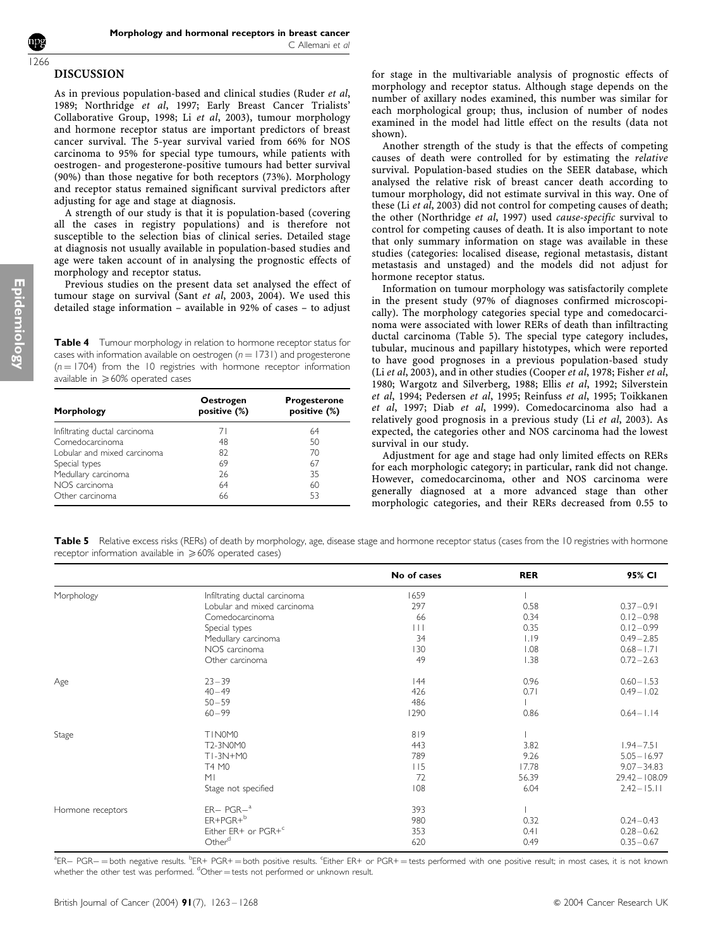#### DISCUSSION 1266

As in previous population-based and clinical studies (Ruder et al, 1989; Northridge et al, 1997; Early Breast Cancer Trialists' Collaborative Group, 1998; Li et al, 2003), tumour morphology and hormone receptor status are important predictors of breast cancer survival. The 5-year survival varied from 66% for NOS carcinoma to 95% for special type tumours, while patients with oestrogen- and progesterone-positive tumours had better survival (90%) than those negative for both receptors (73%). Morphology and receptor status remained significant survival predictors after adjusting for age and stage at diagnosis.

A strength of our study is that it is population-based (covering all the cases in registry populations) and is therefore not susceptible to the selection bias of clinical series. Detailed stage at diagnosis not usually available in population-based studies and age were taken account of in analysing the prognostic effects of morphology and receptor status.

Previous studies on the present data set analysed the effect of tumour stage on survival (Sant et al, 2003, 2004). We used this detailed stage information – available in 92% of cases – to adjust

Table 4 Tumour morphology in relation to hormone receptor status for cases with information available on oestrogen  $(n = 1731)$  and progesterone  $(n = 1704)$  from the 10 registries with hormone receptor information available in  $\geqslant 60\%$  operated cases

| Morphology                    | <b>Oestrogen</b><br>positive (%) | <b>Progesterone</b><br>positive (%) |  |  |
|-------------------------------|----------------------------------|-------------------------------------|--|--|
| Infiltrating ductal carcinoma | 71                               | 64                                  |  |  |
| Comedocarcinoma               | 48                               | 50                                  |  |  |
| I obular and mixed carcinoma  | 82                               | 70                                  |  |  |
| Special types                 | 69                               | 67                                  |  |  |
| Medullary carcinoma           | 26                               | 35                                  |  |  |
| NOS carcinoma                 | 64                               | 60                                  |  |  |
| Other carcinoma               | 66                               | 53                                  |  |  |

for stage in the multivariable analysis of prognostic effects of morphology and receptor status. Although stage depends on the number of axillary nodes examined, this number was similar for each morphological group; thus, inclusion of number of nodes examined in the model had little effect on the results (data not shown).

Another strength of the study is that the effects of competing causes of death were controlled for by estimating the relative survival. Population-based studies on the SEER database, which analysed the relative risk of breast cancer death according to tumour morphology, did not estimate survival in this way. One of these (Li et al, 2003) did not control for competing causes of death; the other (Northridge et al, 1997) used cause-specific survival to control for competing causes of death. It is also important to note that only summary information on stage was available in these studies (categories: localised disease, regional metastasis, distant metastasis and unstaged) and the models did not adjust for hormone receptor status.

Information on tumour morphology was satisfactorily complete in the present study (97% of diagnoses confirmed microscopically). The morphology categories special type and comedocarcinoma were associated with lower RERs of death than infiltracting ductal carcinoma (Table 5). The special type category includes, tubular, mucinous and papillary histotypes, which were reported to have good prognoses in a previous population-based study (Li et al, 2003), and in other studies (Cooper et al, 1978; Fisher et al, 1980; Wargotz and Silverberg, 1988; Ellis et al, 1992; Silverstein et al, 1994; Pedersen et al, 1995; Reinfuss et al, 1995; Toikkanen et al, 1997; Diab et al, 1999). Comedocarcinoma also had a relatively good prognosis in a previous study (Li et al, 2003). As expected, the categories other and NOS carcinoma had the lowest survival in our study.

Adjustment for age and stage had only limited effects on RERs for each morphologic category; in particular, rank did not change. However, comedocarcinoma, other and NOS carcinoma were generally diagnosed at a more advanced stage than other morphologic categories, and their RERs decreased from 0.55 to

Table 5 Relative excess risks (RERs) of death by morphology, age, disease stage and hormone receptor status (cases from the 10 registries with hormone receptor information available in  $\geq 60\%$  operated cases)

|                   |                                 | No of cases | <b>RER</b> | 95% CI           |
|-------------------|---------------------------------|-------------|------------|------------------|
| Morphology        | Infiltrating ductal carcinoma   | 1659        |            |                  |
|                   | Lobular and mixed carcinoma     | 297         | 0.58       | $0.37 - 0.91$    |
|                   | Comedocarcinoma                 | 66          | 0.34       | $0.12 - 0.98$    |
|                   | Special types                   | Ш           | 0.35       | $0.12 - 0.99$    |
|                   | Medullary carcinoma             | 34          | 1.19       | $0.49 - 2.85$    |
|                   | NOS carcinoma                   | 130         | 1.08       | $0.68 - 1.71$    |
|                   | Other carcinoma                 | 49          | 1.38       | $0.72 - 2.63$    |
| Age               | $23 - 39$                       | 144         | 0.96       | $0.60 - 1.53$    |
|                   | $40 - 49$                       | 426         | 0.71       | $0.49 - 1.02$    |
|                   | $50 - 59$                       | 486         |            |                  |
|                   | $60 - 99$                       | 1290        | 0.86       | $0.64 - 1.14$    |
| Stage             | TIN0M0                          | 819         |            |                  |
|                   | T2-3N0M0                        | 443         | 3.82       | $1.94 - 7.51$    |
|                   | TI-3N+M0                        | 789         | 9.26       | $5.05 - 16.97$   |
|                   | T4 M0                           | 115         | 17.78      | $9.07 - 34.83$   |
|                   | M <sub>l</sub>                  | 72          | 56.39      | $29.42 - 108.09$ |
|                   | Stage not specified             | 108         | 6.04       | $2.42 - 15.11$   |
| Hormone receptors | $ER-PGR-a$                      | 393         |            |                  |
|                   | $ER+PGR+b$                      | 980         | 0.32       | $0.24 - 0.43$    |
|                   | Either ER+ or PGR+ <sup>c</sup> | 353         | 0.41       | $0.28 - 0.62$    |
|                   | Other <sup>d</sup>              | 620         | 0.49       | $0.35 - 0.67$    |

<sup>a</sup>ER— PGR—=both negative results. <sup>b</sup>ER+ PGR+=both positive results. <sup>c</sup>Either ER+ or PGR+=tests performed with one positive result; in most cases, it is not known whether the other test was performed. <sup>d</sup>Other = tests not performed or unknown result.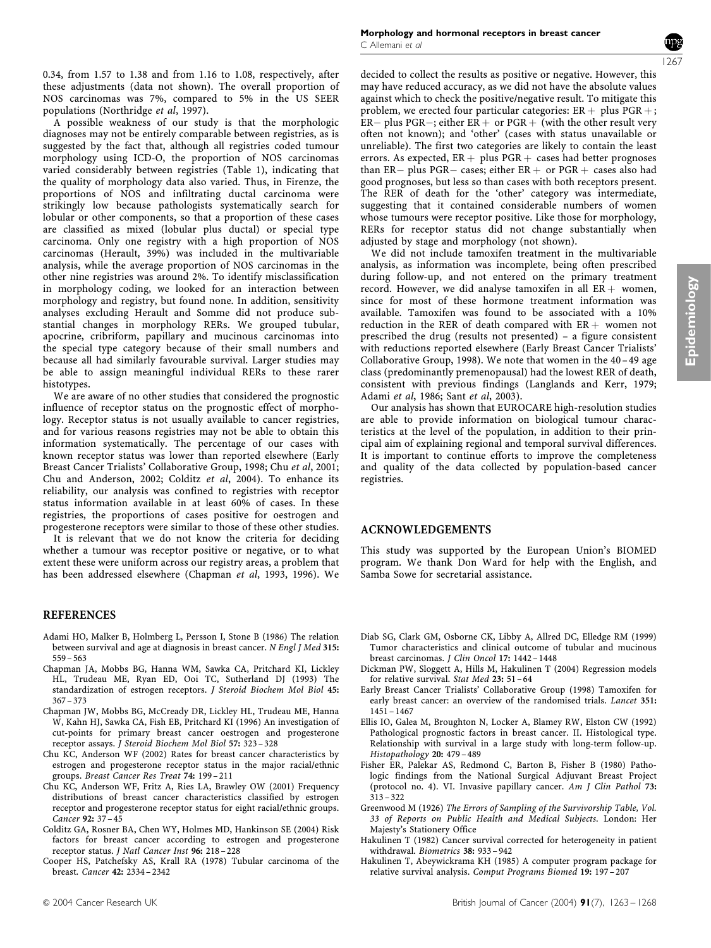0.34, from 1.57 to 1.38 and from 1.16 to 1.08, respectively, after these adjustments (data not shown). The overall proportion of NOS carcinomas was 7%, compared to 5% in the US SEER populations (Northridge et al, 1997).

A possible weakness of our study is that the morphologic diagnoses may not be entirely comparable between registries, as is suggested by the fact that, although all registries coded tumour morphology using ICD-O, the proportion of NOS carcinomas varied considerably between registries (Table 1), indicating that the quality of morphology data also varied. Thus, in Firenze, the proportions of NOS and infiltrating ductal carcinoma were strikingly low because pathologists systematically search for lobular or other components, so that a proportion of these cases are classified as mixed (lobular plus ductal) or special type carcinoma. Only one registry with a high proportion of NOS carcinomas (Herault, 39%) was included in the multivariable analysis, while the average proportion of NOS carcinomas in the other nine registries was around 2%. To identify misclassification in morphology coding, we looked for an interaction between morphology and registry, but found none. In addition, sensitivity analyses excluding Herault and Somme did not produce substantial changes in morphology RERs. We grouped tubular, apocrine, cribriform, papillary and mucinous carcinomas into the special type category because of their small numbers and because all had similarly favourable survival. Larger studies may be able to assign meaningful individual RERs to these rarer histotypes.

We are aware of no other studies that considered the prognostic influence of receptor status on the prognostic effect of morphology. Receptor status is not usually available to cancer registries, and for various reasons registries may not be able to obtain this information systematically. The percentage of our cases with known receptor status was lower than reported elsewhere (Early Breast Cancer Trialists' Collaborative Group, 1998; Chu et al, 2001; Chu and Anderson, 2002; Colditz et al, 2004). To enhance its reliability, our analysis was confined to registries with receptor status information available in at least 60% of cases. In these registries, the proportions of cases positive for oestrogen and progesterone receptors were similar to those of these other studies.

It is relevant that we do not know the criteria for deciding whether a tumour was receptor positive or negative, or to what extent these were uniform across our registry areas, a problem that has been addressed elsewhere (Chapman et al, 1993, 1996). We

#### **REFERENCES**

- Adami HO, Malker B, Holmberg L, Persson I, Stone B (1986) The relation between survival and age at diagnosis in breast cancer. N Engl J Med 315: 559 – 563
- Chapman JA, Mobbs BG, Hanna WM, Sawka CA, Pritchard KI, Lickley HL, Trudeau ME, Ryan ED, Ooi TC, Sutherland DJ (1993) The standardization of estrogen receptors. J Steroid Biochem Mol Biol 45: 367 – 373
- Chapman JW, Mobbs BG, McCready DR, Lickley HL, Trudeau ME, Hanna W, Kahn HJ, Sawka CA, Fish EB, Pritchard KI (1996) An investigation of cut-points for primary breast cancer oestrogen and progesterone receptor assays. J Steroid Biochem Mol Biol 57: 323 – 328
- Chu KC, Anderson WF (2002) Rates for breast cancer characteristics by estrogen and progesterone receptor status in the major racial/ethnic groups. Breast Cancer Res Treat 74: 199 – 211
- Chu KC, Anderson WF, Fritz A, Ries LA, Brawley OW (2001) Frequency distributions of breast cancer characteristics classified by estrogen receptor and progesterone receptor status for eight racial/ethnic groups. Cancer 92: 37 – 45
- Colditz GA, Rosner BA, Chen WY, Holmes MD, Hankinson SE (2004) Risk factors for breast cancer according to estrogen and progesterone receptor status. J Natl Cancer Inst 96: 218 – 228
- Cooper HS, Patchefsky AS, Krall RA (1978) Tubular carcinoma of the breast. Cancer 42: 2334 – 2342



Epidemiology Epidemiology

decided to collect the results as positive or negative. However, this may have reduced accuracy, as we did not have the absolute values against which to check the positive/negative result. To mitigate this problem, we erected four particular categories:  $ER + plus PGR +$ ; ER– plus PGR–; either ER+ or PGR+ (with the other result very often not known); and 'other' (cases with status unavailable or unreliable). The first two categories are likely to contain the least errors. As expected,  $ER + plus PGR + cases$  had better prognoses than ER– plus PGR– cases; either ER  $+ \,$  or PGR  $+ \,$  cases also had good prognoses, but less so than cases with both receptors present. The RER of death for the 'other' category was intermediate, suggesting that it contained considerable numbers of women whose tumours were receptor positive. Like those for morphology, RERs for receptor status did not change substantially when adjusted by stage and morphology (not shown).

We did not include tamoxifen treatment in the multivariable analysis, as information was incomplete, being often prescribed during follow-up, and not entered on the primary treatment record. However, we did analyse tamoxifen in all  $ER +$  women, since for most of these hormone treatment information was available. Tamoxifen was found to be associated with a 10% reduction in the RER of death compared with  $ER +$  women not prescribed the drug (results not presented) – a figure consistent with reductions reported elsewhere (Early Breast Cancer Trialists' Collaborative Group, 1998). We note that women in the 40–49 age class (predominantly premenopausal) had the lowest RER of death, consistent with previous findings (Langlands and Kerr, 1979; Adami et al, 1986; Sant et al, 2003).

Our analysis has shown that EUROCARE high-resolution studies are able to provide information on biological tumour characteristics at the level of the population, in addition to their principal aim of explaining regional and temporal survival differences. It is important to continue efforts to improve the completeness and quality of the data collected by population-based cancer registries.

## ACKNOWLEDGEMENTS

This study was supported by the European Union's BIOMED program. We thank Don Ward for help with the English, and Samba Sowe for secretarial assistance.

- Diab SG, Clark GM, Osborne CK, Libby A, Allred DC, Elledge RM (1999) Tumor characteristics and clinical outcome of tubular and mucinous breast carcinomas. J Clin Oncol 17: 1442 – 1448
- Dickman PW, Sloggett A, Hills M, Hakulinen T (2004) Regression models for relative survival. Stat Med 23: 51 – 64
- Early Breast Cancer Trialists' Collaborative Group (1998) Tamoxifen for early breast cancer: an overview of the randomised trials. Lancet 351:  $1451 - 1467$
- Ellis IO, Galea M, Broughton N, Locker A, Blamey RW, Elston CW (1992) Pathological prognostic factors in breast cancer. II. Histological type. Relationship with survival in a large study with long-term follow-up. Histopathology 20: 479 – 489
- Fisher ER, Palekar AS, Redmond C, Barton B, Fisher B (1980) Pathologic findings from the National Surgical Adjuvant Breast Project (protocol no. 4). VI. Invasive papillary cancer. Am J Clin Pathol 73:  $313 - 322$
- Greenwood M (1926) The Errors of Sampling of the Survivorship Table, Vol. 33 of Reports on Public Health and Medical Subjects. London: Her Majesty's Stationery Office
- Hakulinen T (1982) Cancer survival corrected for heterogeneity in patient withdrawal. Biometrics 38: 933 – 942
- Hakulinen T, Abeywickrama KH (1985) A computer program package for relative survival analysis. Comput Programs Biomed 19: 197 – 207